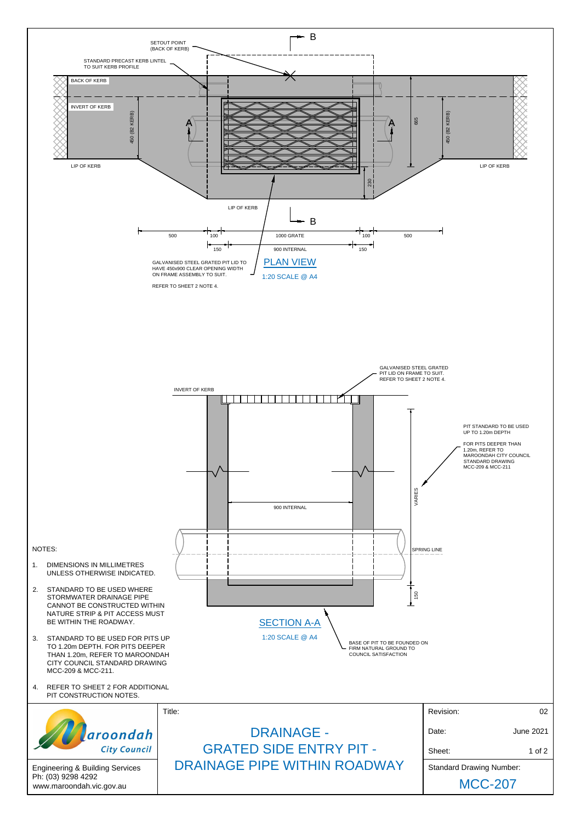